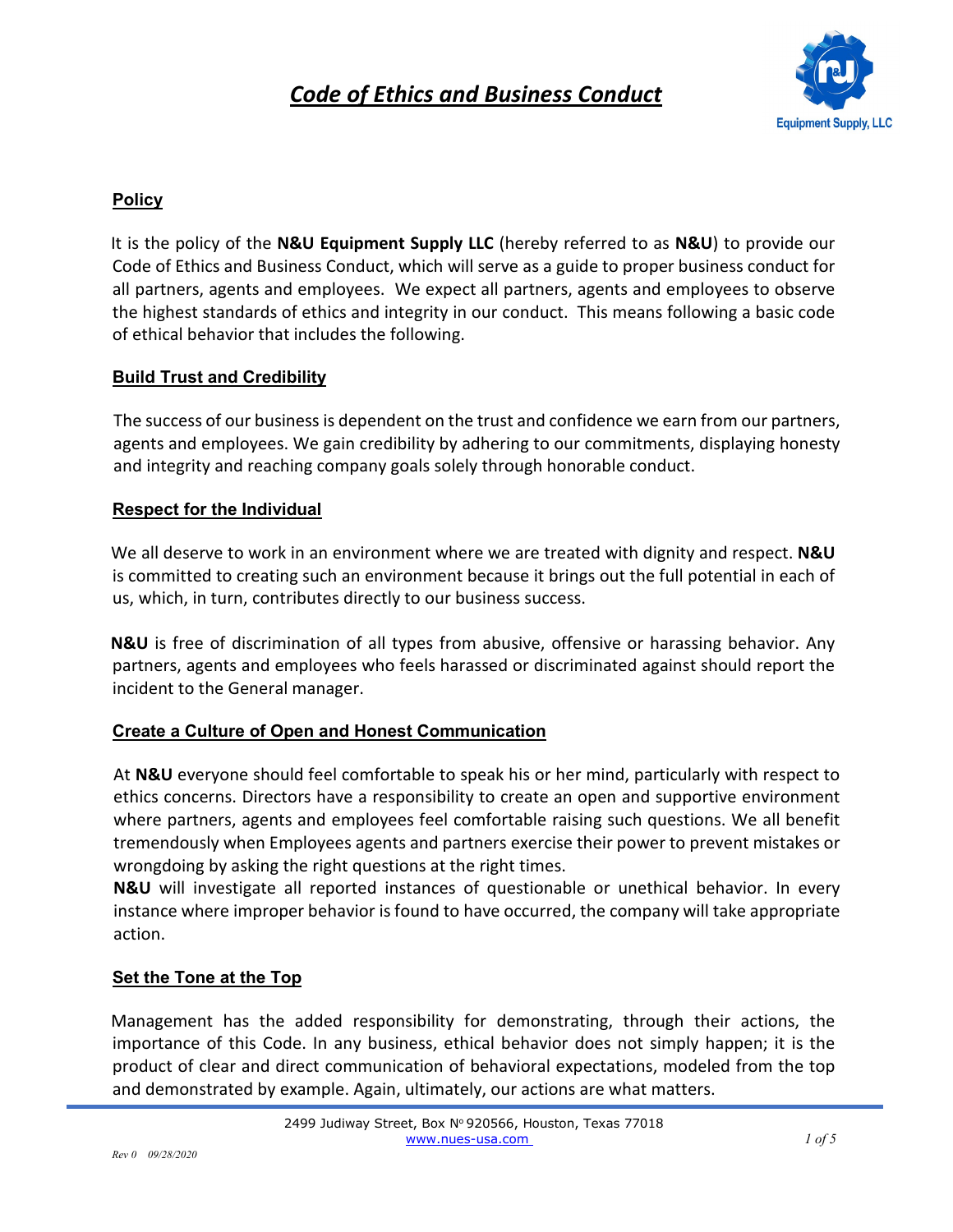

## **Policy**

It is the policy of the **N&U Equipment Supply LLC** (hereby referred to as **N&U**) to provide our Code of Ethics and Business Conduct, which will serve as a guide to proper business conduct for all partners, agents and employees. We expect all partners, agents and employees to observe the highest standards of ethics and integrity in our conduct. This means following a basic code of ethical behavior that includes the following.

## **Build Trust and Credibility**

The success of our business is dependent on the trust and confidence we earn from our partners, agents and employees. We gain credibility by adhering to our commitments, displaying honesty and integrity and reaching company goals solely through honorable conduct.

### **Respect for the Individual**

We all deserve to work in an environment where we are treated with dignity and respect. **N&U** is committed to creating such an environment because it brings out the full potential in each of us, which, in turn, contributes directly to our business success.

**N&U** is free of discrimination of all types from abusive, offensive or harassing behavior. Any partners, agents and employees who feels harassed or discriminated against should report the incident to the General manager.

## **Create a Culture of Open and Honest Communication**

At **N&U** everyone should feel comfortable to speak his or her mind, particularly with respect to ethics concerns. Directors have a responsibility to create an open and supportive environment where partners, agents and employees feel comfortable raising such questions. We all benefit tremendously when Employees agents and partners exercise their power to prevent mistakes or wrongdoing by asking the right questions at the right times.

**N&U** will investigate all reported instances of questionable or unethical behavior. In every instance where improper behavior is found to have occurred, the company will take appropriate action.

#### **Set the Tone at the Top**

Management has the added responsibility for demonstrating, through their actions, the importance of this Code. In any business, ethical behavior does not simply happen; it is the product of clear and direct communication of behavioral expectations, modeled from the top and demonstrated by example. Again, ultimately, our actions are what matters.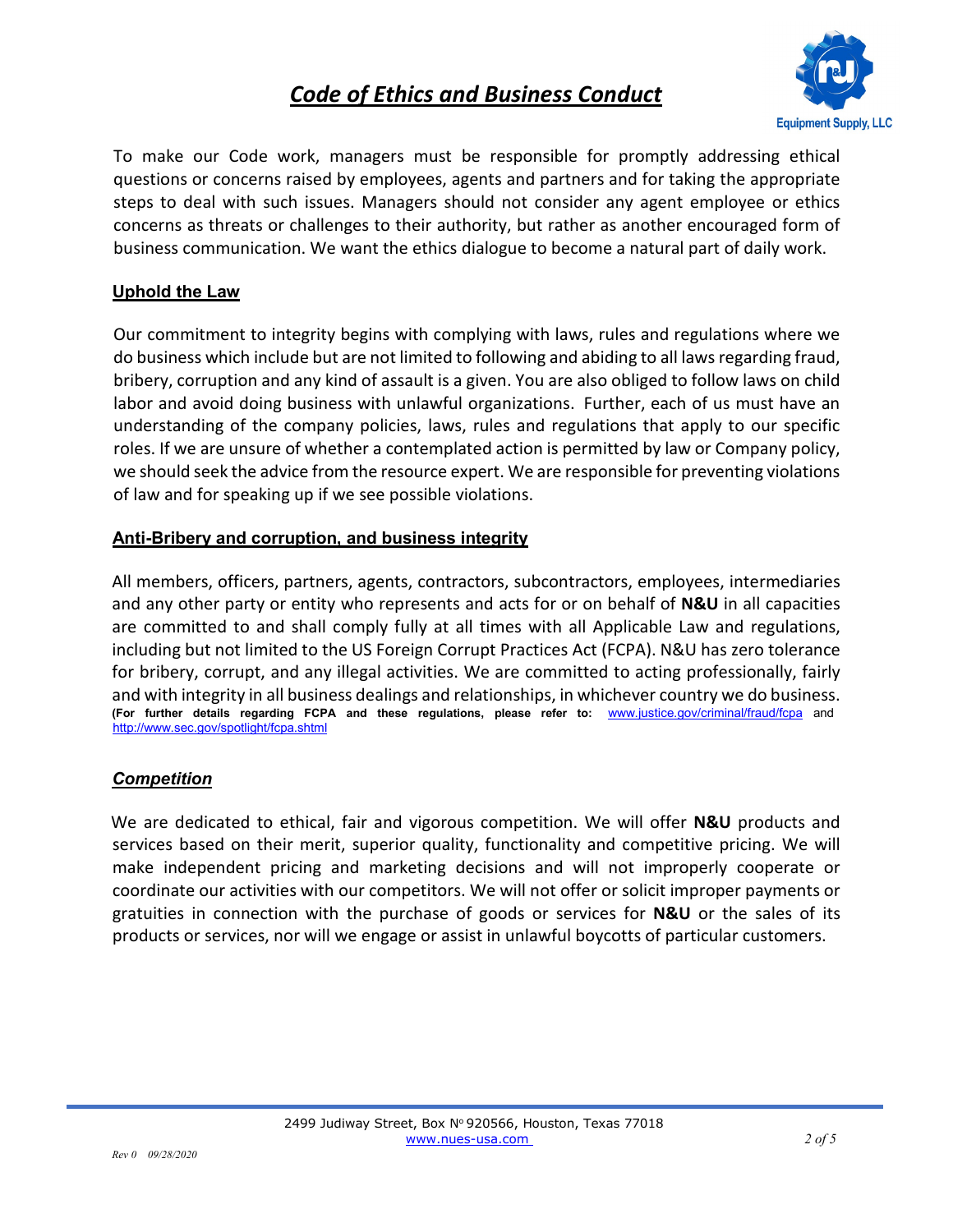

To make our Code work, managers must be responsible for promptly addressing ethical questions or concerns raised by employees, agents and partners and for taking the appropriate steps to deal with such issues. Managers should not consider any agent employee or ethics concerns as threats or challenges to their authority, but rather as another encouraged form of business communication. We want the ethics dialogue to become a natural part of daily work.

## **Uphold the Law**

Our commitment to integrity begins with complying with laws, rules and regulations where we do business which include but are not limited to following and abiding to all laws regarding fraud, bribery, corruption and any kind of assault is a given. You are also obliged to follow laws on child labor and avoid doing business with unlawful organizations. Further, each of us must have an understanding of the company policies, laws, rules and regulations that apply to our specific roles. If we are unsure of whether a contemplated action is permitted by law or Company policy, we should seek the advice from the resource expert. We are responsible for preventing violations of law and for speaking up if we see possible violations.

## **Anti-Bribery and corruption, and business integrity**

All members, officers, partners, agents, contractors, subcontractors, employees, intermediaries and any other party or entity who represents and acts for or on behalf of **N&U** in all capacities are committed to and shall comply fully at all times with all Applicable Law and regulations, including but not limited to the US Foreign Corrupt Practices Act (FCPA). N&U has zero tolerance for bribery, corrupt, and any illegal activities. We are committed to acting professionally, fairly and with integrity in all business dealings and relationships, in whichever country we do business. **(For further details regarding FCPA and these regulations, please refer to:** www.justice.gov/criminal/fraud/fcpa and http://www.sec.gov/spotlight/fcpa.shtml

## *Competition*

We are dedicated to ethical, fair and vigorous competition. We will offer **N&U** products and services based on their merit, superior quality, functionality and competitive pricing. We will make independent pricing and marketing decisions and will not improperly cooperate or coordinate our activities with our competitors. We will not offer or solicit improper payments or gratuities in connection with the purchase of goods or services for **N&U** or the sales of its products or services, nor will we engage or assist in unlawful boycotts of particular customers.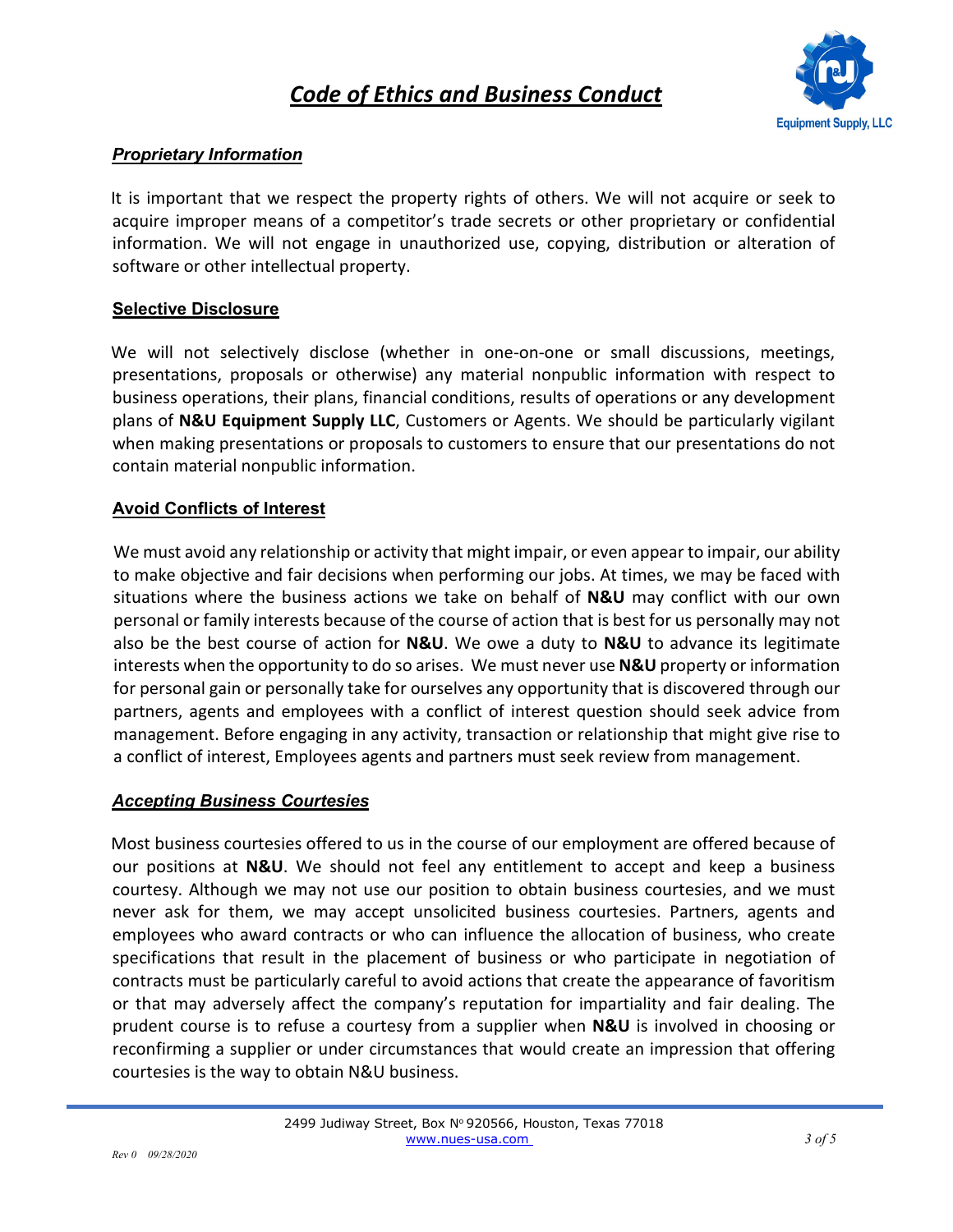

### *Proprietary Information*

It is important that we respect the property rights of others. We will not acquire or seek to acquire improper means of a competitor's trade secrets or other proprietary or confidential information. We will not engage in unauthorized use, copying, distribution or alteration of software or other intellectual property.

#### **Selective Disclosure**

We will not selectively disclose (whether in one-on-one or small discussions, meetings, presentations, proposals or otherwise) any material nonpublic information with respect to business operations, their plans, financial conditions, results of operations or any development plans of **N&U Equipment Supply LLC**, Customers or Agents. We should be particularly vigilant when making presentations or proposals to customers to ensure that our presentations do not contain material nonpublic information.

### **Avoid Conflicts of Interest**

We must avoid any relationship or activity that might impair, or even appear to impair, our ability to make objective and fair decisions when performing our jobs. At times, we may be faced with situations where the business actions we take on behalf of **N&U** may conflict with our own personal or family interests because of the course of action that is best for us personally may not also be the best course of action for **N&U**. We owe a duty to **N&U** to advance its legitimate interests when the opportunity to do so arises. We must never use **N&U** property or information for personal gain or personally take for ourselves any opportunity that is discovered through our partners, agents and employees with a conflict of interest question should seek advice from management. Before engaging in any activity, transaction or relationship that might give rise to a conflict of interest, Employees agents and partners must seek review from management.

#### *Accepting Business Courtesies*

Most business courtesies offered to us in the course of our employment are offered because of our positions at **N&U**. We should not feel any entitlement to accept and keep a business courtesy. Although we may not use our position to obtain business courtesies, and we must never ask for them, we may accept unsolicited business courtesies. Partners, agents and employees who award contracts or who can influence the allocation of business, who create specifications that result in the placement of business or who participate in negotiation of contracts must be particularly careful to avoid actions that create the appearance of favoritism or that may adversely affect the company's reputation for impartiality and fair dealing. The prudent course is to refuse a courtesy from a supplier when **N&U** is involved in choosing or reconfirming a supplier or under circumstances that would create an impression that offering courtesies is the way to obtain N&U business.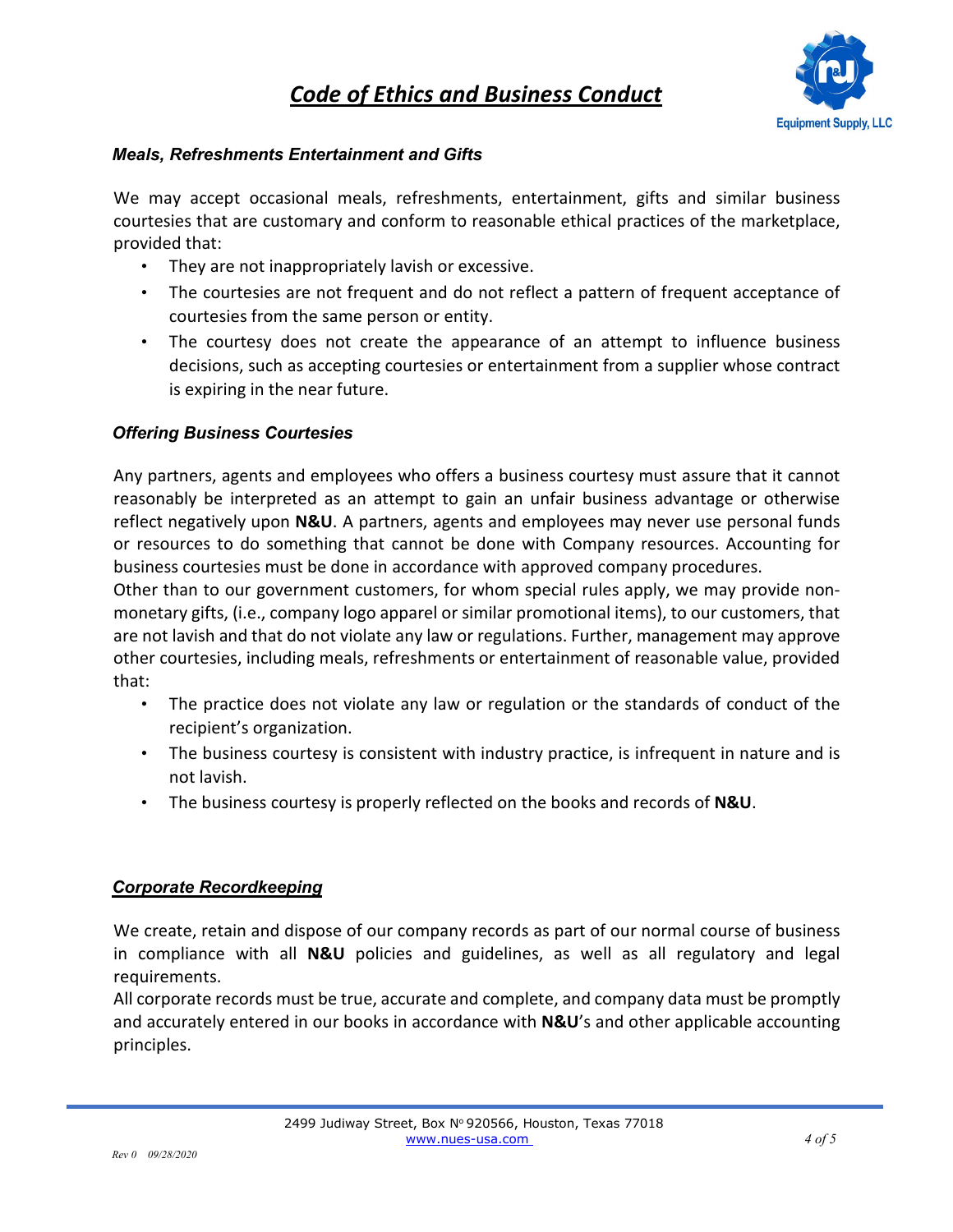

### *Meals, Refreshments Entertainment and Gifts*

We may accept occasional meals, refreshments, entertainment, gifts and similar business courtesies that are customary and conform to reasonable ethical practices of the marketplace, provided that:

- They are not inappropriately lavish or excessive.
- The courtesies are not frequent and do not reflect a pattern of frequent acceptance of courtesies from the same person or entity.
- The courtesy does not create the appearance of an attempt to influence business decisions, such as accepting courtesies or entertainment from a supplier whose contract is expiring in the near future.

## *Offering Business Courtesies*

Any partners, agents and employees who offers a business courtesy must assure that it cannot reasonably be interpreted as an attempt to gain an unfair business advantage or otherwise reflect negatively upon **N&U**. A partners, agents and employees may never use personal funds or resources to do something that cannot be done with Company resources. Accounting for business courtesies must be done in accordance with approved company procedures.

Other than to our government customers, for whom special rules apply, we may provide nonmonetary gifts, (i.e., company logo apparel or similar promotional items), to our customers, that are not lavish and that do not violate any law or regulations. Further, management may approve other courtesies, including meals, refreshments or entertainment of reasonable value, provided that:

- The practice does not violate any law or regulation or the standards of conduct of the recipient's organization.
- The business courtesy is consistent with industry practice, is infrequent in nature and is not lavish.
- The business courtesy is properly reflected on the books and records of **N&U**.

#### *Corporate Recordkeeping*

We create, retain and dispose of our company records as part of our normal course of business in compliance with all **N&U** policies and guidelines, as well as all regulatory and legal requirements.

All corporate records must be true, accurate and complete, and company data must be promptly and accurately entered in our books in accordance with **N&U**'s and other applicable accounting principles.